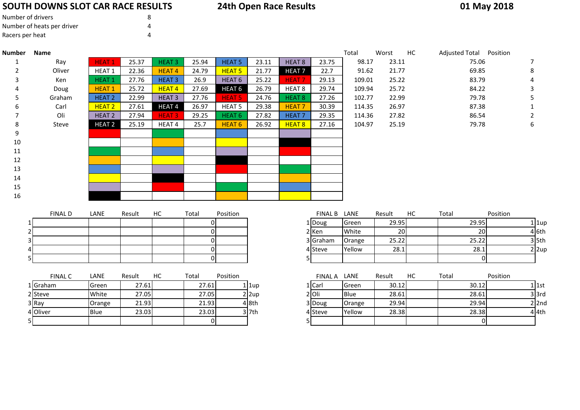## **SOUTH DOWNS SLOT CAR RACE RESULTS**

# **24th Open Race Results**

### **01 May 2018**

<sup>3</sup> Doug Orange 29.94 29.94 <sup>2</sup> 2nd

**28.38** 28.38 4 4th

| Number of drivers          | 8 |
|----------------------------|---|
| Number of heats per driver |   |
| Racers per heat            |   |

3 Ray

5

4 Oliver

3 Ray Crange 21.93 21.93 4 8th

Oliver Blue 23.03 23.03 <sup>3</sup> 7th

| <b>Number</b> | <b>Name</b>    |                   |        |                   |            |                   |                         |                   |                   | Total  | Worst       | HC | Adjusted Total Position |             |          |                         |
|---------------|----------------|-------------------|--------|-------------------|------------|-------------------|-------------------------|-------------------|-------------------|--------|-------------|----|-------------------------|-------------|----------|-------------------------|
| 1             | Ray            | <b>HEAT1</b>      | 25.37  | <b>HEAT3</b>      | 25.94      | <b>HEAT 5</b>     | 23.11                   | <b>HEAT 8</b>     | 23.75             | 98.17  | 23.11       |    |                         | 75.06       |          | 7                       |
| 2             | Oliver         | HEAT 1            | 22.36  | <b>HEAT4</b>      | 24.79      | <b>HEAT 5</b>     | 21.77                   | <b>HEAT7</b>      | 22.7              | 91.62  | 21.77       |    |                         | 69.85       |          | 8                       |
| 3             | Ken            | <b>HEAT1</b>      | 27.76  | <b>HEAT3</b>      | 26.9       | HEAT <sub>6</sub> | 25.22                   | <b>HEAT7</b>      | 29.13             | 109.01 | 25.22       |    |                         | 83.79       |          |                         |
|               | Doug           | <b>HEAT1</b>      | 25.72  | <b>HEAT4</b>      | 27.69      | HEAT <sub>6</sub> | 26.79                   | HEAT <sub>8</sub> | 29.74             | 109.94 | 25.72       |    |                         | 84.22       |          | 3                       |
| 5             | Graham         | HEAT <sub>2</sub> | 22.99  | <b>HEAT3</b>      | 27.76      | <b>HEAT 5</b>     | 24.76                   | <b>HEAT 8</b>     | 27.26             | 102.77 | 22.99       |    |                         | 79.78       |          |                         |
| 6             | Carl           | HEAT <sub>2</sub> | 27.61  | HEAT <sub>4</sub> | 26.97      | <b>HEAT 5</b>     | 29.38                   | <b>HEAT7</b>      | 30.39             | 114.35 | 26.97       |    |                         | 87.38       |          |                         |
|               | Oli            | <b>HEAT 2</b>     | 27.94  | <b>HEAT3</b>      | 29.25      | HEAT <sub>6</sub> | 27.82                   | HEAT <sub>7</sub> | 29.35             | 114.36 | 27.82       |    |                         | 86.54       |          | 2                       |
| 8             | Steve          | HEAT <sub>2</sub> | 25.19  | HEAT <sub>4</sub> | 25.7       | <b>HEAT 6</b>     | 26.92                   | <b>HEAT 8</b>     | 27.16             | 104.97 | 25.19       |    |                         | 79.78       |          | 6                       |
| 9             |                |                   |        |                   |            |                   |                         |                   |                   |        |             |    |                         |             |          |                         |
| 10            |                |                   |        |                   |            |                   |                         |                   |                   |        |             |    |                         |             |          |                         |
| 11            |                |                   |        |                   |            |                   |                         |                   |                   |        |             |    |                         |             |          |                         |
| 12            |                |                   |        |                   |            |                   |                         |                   |                   |        |             |    |                         |             |          |                         |
| 13            |                |                   |        |                   |            |                   |                         |                   |                   |        |             |    |                         |             |          |                         |
| 14            |                |                   |        |                   |            |                   |                         |                   |                   |        |             |    |                         |             |          |                         |
| 15            |                |                   |        |                   |            |                   |                         |                   |                   |        |             |    |                         |             |          |                         |
| 16            |                |                   |        |                   |            |                   |                         |                   |                   |        |             |    |                         |             |          |                         |
|               |                |                   |        |                   |            |                   |                         |                   |                   |        |             | HC |                         |             |          |                         |
|               | <b>FINAL D</b> | LANE              | Result | HC                | Total<br>0 | Position          |                         |                   | FINAL B LANE      | Green  | Result      |    | Total                   |             | Position |                         |
|               |                |                   |        |                   | $\Omega$   |                   |                         |                   | 1 Doug<br>$2$ Ken | White  | 29.95<br>20 |    |                         | 29.95<br>20 |          | $1$   1up<br>4 6th      |
|               |                |                   |        |                   | ΩI         |                   |                         |                   | 3 Graham          | Orange | 25.22       |    |                         | 25.22       |          | $3$ 5th                 |
|               |                |                   |        |                   | $\Omega$   |                   |                         |                   | 4 Steve           | Yellow | 28.1        |    |                         | 28.1        |          | $2 \vert 2 \mathrm{up}$ |
|               | 5              |                   |        |                   | $\Omega$   |                   |                         | 5.                |                   |        |             |    |                         | $\mathbf 0$ |          |                         |
|               |                |                   |        |                   |            |                   |                         |                   |                   |        |             |    |                         |             |          |                         |
|               | <b>FINAL C</b> | LANE              | Result | <b>HC</b>         | Total      | Position          |                         |                   | FINAL A LANE      |        | Result      | HC | Total                   |             | Position |                         |
|               | 1 Graham       | Green             | 27.61  |                   | 27.61      |                   | $1$ $1$ up              |                   | 1 Carl            | Green  | 30.12       |    |                         | 30.12       |          | $1$ 1st                 |
|               | 2 Steve        | White             | 27.05  |                   | 27.05      |                   | $2 \vert 2 \mathrm{up}$ |                   | $2$ Oli           | Blue   | 28.61       |    |                         | 28.61       |          | $3$ $3rd$               |
|               |                |                   |        |                   |            |                   |                         |                   |                   |        |             |    |                         |             |          |                         |

<sup>0</sup> <sup>5</sup> <sup>0</sup>

3 7th 4 Steve Yellow